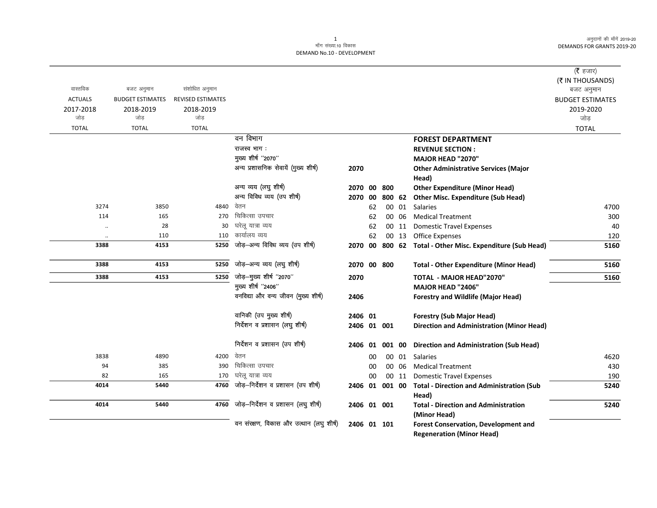## 1 ek¡x l a[;k-10 fodkl DEMAND No.10 - DEVELOPMENT

|                |                         |                          |                                         |                |    |        |       |                                                   | ( $\bar{\tau}$ हजार)    |
|----------------|-------------------------|--------------------------|-----------------------------------------|----------------|----|--------|-------|---------------------------------------------------|-------------------------|
|                |                         |                          |                                         |                |    |        |       |                                                   | (₹ IN THOUSANDS)        |
| वास्तविक       | बजट अनुमान              | संशोधित अनुमान           |                                         |                |    |        |       |                                                   | बजट अनुमान              |
| <b>ACTUALS</b> | <b>BUDGET ESTIMATES</b> | <b>REVISED ESTIMATES</b> |                                         |                |    |        |       |                                                   | <b>BUDGET ESTIMATES</b> |
| 2017-2018      | 2018-2019               | 2018-2019                |                                         |                |    |        |       |                                                   | 2019-2020               |
| जोड            | जोड                     | जोड                      |                                         |                |    |        |       |                                                   | जोड़                    |
| <b>TOTAL</b>   | <b>TOTAL</b>            | <b>TOTAL</b>             |                                         |                |    |        |       |                                                   | <b>TOTAL</b>            |
|                |                         |                          | वन विभाग                                |                |    |        |       | <b>FOREST DEPARTMENT</b>                          |                         |
|                |                         |                          | राजस्व भाग:                             |                |    |        |       | <b>REVENUE SECTION:</b>                           |                         |
|                |                         |                          | मुख्य शीर्ष "2070"                      |                |    |        |       | <b>MAJOR HEAD "2070"</b>                          |                         |
|                |                         |                          | अन्य प्रशासनिक सेवायें (मुख्य शीर्ष)    | 2070           |    |        |       | <b>Other Administrative Services (Major</b>       |                         |
|                |                         |                          |                                         |                |    |        |       | Head)                                             |                         |
|                |                         |                          | अन्य व्यय (लघु शीर्ष)                   | 2070 00        |    | 800    |       | <b>Other Expenditure (Minor Head)</b>             |                         |
|                |                         |                          | अन्य विविध व्यय (उप शीर्ष)              | 2070           | 00 |        |       | 800 62 Other Misc. Expenditure (Sub Head)         |                         |
| 3274           | 3850                    | 4840                     | वेतन                                    |                | 62 |        |       | 00 01 Salaries                                    | 4700                    |
| 114            | 165                     | 270                      | चिकित्सा उपचार                          |                | 62 |        | 00 06 | <b>Medical Treatment</b>                          | 300                     |
| $\ddotsc$      | 28                      | 30                       | घरेलू यात्रा व्यय                       |                | 62 |        | 00 11 | <b>Domestic Travel Expenses</b>                   | 40                      |
| $\ldots$       | 110                     | 110                      | कार्यालय व्यय                           |                | 62 |        | 00 13 | <b>Office Expenses</b>                            | 120                     |
| 3388           | 4153                    | 5250                     | जोड़-अन्य विविध व्यय (उप शीर्ष)         | 2070 00        |    |        |       | 800 62 Total - Other Misc. Expenditure (Sub Head) | 5160                    |
| 3388           | 4153                    | 5250                     | जोड़-अन्य व्यय (लघु शीर्ष)              | 2070 00 800    |    |        |       | <b>Total - Other Expenditure (Minor Head)</b>     | 5160                    |
| 3388           | 4153                    | 5250                     | जोड़-मुख्य शीर्ष "2070"                 | 2070           |    |        |       | <b>TOTAL - MAJOR HEAD"2070"</b>                   | 5160                    |
|                |                         |                          | मुख्य शीर्ष "2406"                      |                |    |        |       | <b>MAJOR HEAD "2406"</b>                          |                         |
|                |                         |                          | वनविद्या और वन्य जीवन (मुख्य शीर्ष)     | 2406           |    |        |       | <b>Forestry and Wildlife (Major Head)</b>         |                         |
|                |                         |                          | वानिकी (उप मुख्य शीर्ष)                 | 2406 01        |    |        |       | <b>Forestry (Sub Major Head)</b>                  |                         |
|                |                         |                          | निर्देशन व प्रशासन (लघु शीर्ष)          | 2406 01 001    |    |        |       | <b>Direction and Administration (Minor Head)</b>  |                         |
|                |                         |                          | निर्देशन व प्रशासन (उप शीर्ष)           | 2406 01        |    | 001 00 |       | Direction and Administration (Sub Head)           |                         |
| 3838           | 4890                    | 4200                     | वेतन                                    |                | 00 |        | 00 01 | Salaries                                          | 4620                    |
| 94             | 385                     | 390                      | चिकित्सा उपचार                          |                | 00 |        | 00 06 | <b>Medical Treatment</b>                          | 430                     |
| 82             | 165                     | 170                      | घरेलू यात्रा व्यय                       |                | 00 |        | 00 11 | <b>Domestic Travel Expenses</b>                   | 190                     |
| 4014           | 5440                    | 4760                     | जोड़-निर्देशन व प्रशासन (उप शीर्ष)      | 2406 01 001 00 |    |        |       | <b>Total - Direction and Administration (Sub</b>  | 5240                    |
|                |                         |                          |                                         |                |    |        |       | Head)                                             |                         |
| 4014           | 5440                    | 4760                     | जोड़-निर्देशन व प्रशासन (लघु शीर्ष)     | 2406 01 001    |    |        |       | <b>Total - Direction and Administration</b>       | 5240                    |
|                |                         |                          |                                         |                |    |        |       | (Minor Head)                                      |                         |
|                |                         |                          | वन संरक्षण, विकास और उत्थान (लघु शीर्ष) | 2406 01 101    |    |        |       | Forest Conservation, Development and              |                         |
|                |                         |                          |                                         |                |    |        |       | <b>Regeneration (Minor Head)</b>                  |                         |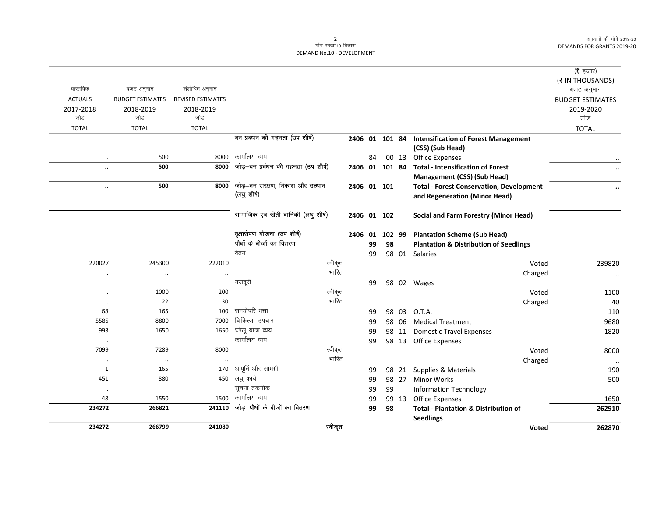| 234272               | 266799                  | 241080                   | स्वीकृत                             |         |         |                |       | <b>Voted</b>                                                                     | 262870                  |
|----------------------|-------------------------|--------------------------|-------------------------------------|---------|---------|----------------|-------|----------------------------------------------------------------------------------|-------------------------|
|                      |                         |                          |                                     |         |         |                |       | <b>Seedlings</b>                                                                 |                         |
| 234272               | 266821                  | 241110                   | जोड़—पौधों के बीजों का वितरण        |         | 99      | 98             |       | <b>Total - Plantation &amp; Distribution of</b>                                  | 262910                  |
| 48                   | 1550                    |                          | 1500 कार्यालय व्यय                  |         | 99      |                | 99 13 | Office Expenses                                                                  | 1650                    |
| $\cdot\cdot$         |                         |                          | सूचना तकनीक                         |         | 99      | 99             |       | <b>Information Technology</b>                                                    |                         |
| 451                  | 880                     |                          | 450 लघु कार्य                       |         | 99      |                | 98 27 | <b>Minor Works</b>                                                               | 500                     |
| 1                    | 165                     | 170                      | आपूर्ति और सामग्री                  |         | 99      |                | 98 21 | Supplies & Materials                                                             | 190                     |
| $\ddotsc$            | $\cdot\cdot$            |                          |                                     | भारित   |         |                |       | Charged                                                                          | $\ddotsc$               |
| 7099                 | 7289                    | 8000                     |                                     | स्वीकृत |         |                |       | Voted                                                                            | 8000                    |
| $\ldots$             |                         |                          | कार्यालय व्यय                       |         | 99      |                | 98 13 | <b>Office Expenses</b>                                                           |                         |
| 993                  | 1650                    | 1650                     | घरेलू यात्रा व्यय                   |         | 99      |                | 98 11 | <b>Domestic Travel Expenses</b>                                                  | 1820                    |
| 5585                 | 8800                    | 7000                     | चिकित्सा उपचार                      |         | 99      |                | 98 06 | <b>Medical Treatment</b>                                                         | 9680                    |
| 68                   | 165                     | 100                      | समयोपरि भत्ता                       |         | 99      |                | 98 03 | O.T.A.                                                                           | 110                     |
| $\ldots$             | 22                      | 30                       |                                     | भारित   |         |                |       | Charged                                                                          | 40                      |
| $\ddotsc$            | 1000                    | 200                      |                                     | स्वीकृत |         |                |       | Voted                                                                            | 1100                    |
|                      |                         |                          | मजदूरी                              |         | 99      |                |       | 98 02 Wages                                                                      |                         |
| $\ddot{\phantom{0}}$ | $\ddot{\phantom{0}}$    |                          |                                     | भारित   |         |                |       | Charged                                                                          | $\cdot\cdot$            |
| 220027               | 245300                  | 222010                   |                                     | स्वीकृत |         |                |       | Voted                                                                            | 239820                  |
|                      |                         |                          | वेतन                                |         | 99      |                |       | 98 01 Salaries                                                                   |                         |
|                      |                         |                          | पौधों के बीजों का वितरण             |         | 99      | 98             |       | <b>Plantation &amp; Distribution of Seedlings</b>                                |                         |
|                      |                         |                          | वृक्षारोपण योजना (उप शीर्ष)         |         | 2406 01 | 102 99         |       | <b>Plantation Scheme (Sub Head)</b>                                              |                         |
|                      |                         |                          | सामाजिक एवं खेती वानिकी (लघु शीर्ष) |         |         | 2406 01 102    |       | Social and Farm Forestry (Minor Head)                                            |                         |
| $\ddotsc$            |                         |                          | (लघु शीर्ष)                         |         |         | 2406 01 101    |       | <b>Total - Forest Conservation, Development</b><br>and Regeneration (Minor Head) | $\ddot{\phantom{0}}$    |
|                      | 500                     | 8000                     | जोड़-वन संरक्षण, विकास और उत्थान    |         |         |                |       | <b>Management (CSS) (Sub Head)</b>                                               |                         |
| $\ldots$             | 500                     | 8000                     | जोड़—वन प्रबंधन की गहनता (उप शीर्ष) |         |         | 2406 01 101 84 |       | <b>Total - Intensification of Forest</b>                                         | $\ddotsc$               |
| $\ldots$             | 500                     | 8000                     | कार्यालय व्यय                       |         | 84      |                | 00 13 | <b>Office Expenses</b>                                                           |                         |
|                      |                         |                          | वन प्रबंधन की गहनता (उप शीर्ष)      |         |         | 2406 01 101 84 |       | <b>Intensification of Forest Management</b><br>(CSS) (Sub Head)                  |                         |
| <b>TOTAL</b>         | <b>TOTAL</b>            | <b>TOTAL</b>             |                                     |         |         |                |       |                                                                                  | <b>TOTAL</b>            |
| जोड                  | जोड                     | जोड                      |                                     |         |         |                |       |                                                                                  | जोड                     |
| 2017-2018            | 2018-2019               | 2018-2019                |                                     |         |         |                |       |                                                                                  | 2019-2020               |
| <b>ACTUALS</b>       | <b>BUDGET ESTIMATES</b> | <b>REVISED ESTIMATES</b> |                                     |         |         |                |       |                                                                                  | <b>BUDGET ESTIMATES</b> |
| वास्तविक             | बजट अनुमान              | संशोधित अनुमान           |                                     |         |         |                |       |                                                                                  | बजट अनुमान              |
|                      |                         |                          |                                     |         |         |                |       |                                                                                  | (₹ IN THOUSANDS)        |
|                      |                         |                          |                                     |         |         |                |       |                                                                                  | ( $\bar{\tau}$ हजार)    |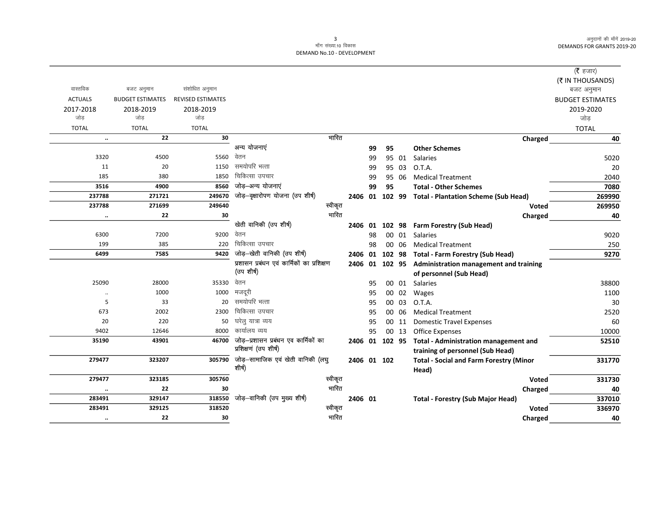| (रै हजार)               |                                                       |       |    |    |             |                                            |                          |                         |                |
|-------------------------|-------------------------------------------------------|-------|----|----|-------------|--------------------------------------------|--------------------------|-------------------------|----------------|
| (₹ IN THOUSANDS)        |                                                       |       |    |    |             |                                            |                          |                         |                |
| बजट अनुमान              |                                                       |       |    |    |             |                                            | संशोधित अनुमान           | बजट अनुमान              | वास्तविक       |
| <b>BUDGET ESTIMATES</b> |                                                       |       |    |    |             |                                            | <b>REVISED ESTIMATES</b> | <b>BUDGET ESTIMATES</b> | <b>ACTUALS</b> |
| 2019-2020               |                                                       |       |    |    |             |                                            | 2018-2019                | 2018-2019               | 2017-2018      |
| जोड़                    |                                                       |       |    |    |             |                                            | जोड                      | जोड                     | जोड            |
| <b>TOTAL</b>            |                                                       |       |    |    |             |                                            | <b>TOTAL</b>             | <b>TOTAL</b>            | <b>TOTAL</b>   |
| 40                      | Charged                                               |       |    |    |             | भारित                                      | 30                       | 22                      | $\ddotsc$      |
|                         | <b>Other Schemes</b>                                  |       | 95 | 99 |             | अन्य योजनाएं                               |                          |                         |                |
| 5020                    | Salaries                                              | 95 01 |    | 99 |             | वेतन                                       | 5560                     | 4500                    | 3320           |
| 20                      | O.T.A.                                                | 95 03 |    | 99 |             | समयोपरि भत्ता                              | 1150                     | 20                      | 11             |
| 2040                    | <b>Medical Treatment</b>                              | 95 06 |    | 99 |             | चिकित्सा उपचार                             | 1850                     | 380                     | 185            |
| 7080                    | <b>Total - Other Schemes</b>                          |       | 95 | 99 |             | जोड़-अन्य योजनाएं                          | 8560                     | 4900                    | 3516           |
| 269990                  | 102 99 Total - Plantation Scheme (Sub Head)           |       |    |    | 2406 01     | जोड़-वृक्षारोपण योजना (उप शीर्ष)           | 249670                   | 271721                  | 237788         |
| 269950                  | <b>Voted</b>                                          |       |    |    |             | स्वीकृत                                    | 249640                   | 271699                  | 237788         |
| 40                      | Charged                                               |       |    |    |             | भारित                                      | 30                       | 22                      | $\ddotsc$      |
|                         | 102 98 Farm Forestry (Sub Head)                       |       |    |    | 2406 01     | खेती वानिकी (उप शीर्ष)                     |                          |                         |                |
| 9020                    | <b>Salaries</b>                                       | 00 01 |    | 98 |             | वेतन                                       | 9200                     | 7200                    | 6300           |
| 250                     | <b>Medical Treatment</b>                              | 00 06 |    | 98 |             | चिकित्सा उपचार                             | 220                      | 385                     | 199            |
| 9270                    | 102 98 Total - Farm Forestry (Sub Head)               |       |    |    | 2406 01     | जोड़–खेती वानिकी (उप शीर्ष)                | 9420                     | 7585                    | 6499           |
|                         | 2406 01 102 95 Administration management and training |       |    |    |             | प्रशासन प्रबंधन एवं कार्मिकों का प्रशिक्षण |                          |                         |                |
|                         | of personnel (Sub Head)                               |       |    |    |             | (उप शीर्ष)                                 |                          |                         |                |
| 38800                   | 00 01 Salaries                                        |       |    | 95 |             | वेतन                                       | 35330                    | 28000                   | 25090          |
| 1100                    | 00 02 Wages                                           |       |    | 95 |             | मजदूरी                                     | 1000                     | 1000                    | $\ddotsc$      |
| 30                      | O.T.A.                                                | 00 03 |    | 95 |             | समयोपरि भत्ता                              | 20                       | 33                      | 5              |
| 2520                    | <b>Medical Treatment</b>                              | 00 06 |    | 95 |             | चिकित्सा उपचार                             | 2300                     | 2002                    | 673            |
| 60                      | <b>Domestic Travel Expenses</b>                       | 00 11 |    | 95 |             | घरेलु यात्रा व्यय                          | 50                       | 220                     | 20             |
| 10000                   | <b>Office Expenses</b>                                | 00 13 |    | 95 |             | कार्यालय व्यय                              | 8000                     | 12646                   | 9402           |
| 52510                   | 2406 01 102 95 Total - Administration management and  |       |    |    |             | जोड़—प्रशासन प्रबंधन एव कार्मिकों का       | 46700                    | 43901                   | 35190          |
|                         | training of personnel (Sub Head)                      |       |    |    |             | प्रशिक्षणं (उप शीर्ष)                      |                          |                         |                |
| 331770                  | <b>Total - Social and Farm Forestry (Minor</b>        |       |    |    | 2406 01 102 | जोड़—सामाजिक एवं खेती वानिकी (लघु          | 305790                   | 323207                  | 279477         |
|                         | Head)                                                 |       |    |    |             | शीर्ष)                                     |                          |                         |                |
| 331730                  | <b>Voted</b>                                          |       |    |    |             | स्वीकृत                                    | 305760                   | 323185                  | 279477         |
| 40                      | Charged                                               |       |    |    |             | भारित                                      | 30                       | 22                      | $\ldots$       |
| 337010                  | <b>Total - Forestry (Sub Major Head)</b>              |       |    |    | 2406 01     | जोड़-वानिकी (उप मुख्य शीर्ष)               | 318550                   | 329147                  | 283491         |
| 336970                  | <b>Voted</b>                                          |       |    |    |             | स्वीकृत                                    | 318520                   | 329125                  | 283491         |
| 40                      | Charged                                               |       |    |    |             | भारित                                      | 30                       | 22                      | $\cdot\cdot$   |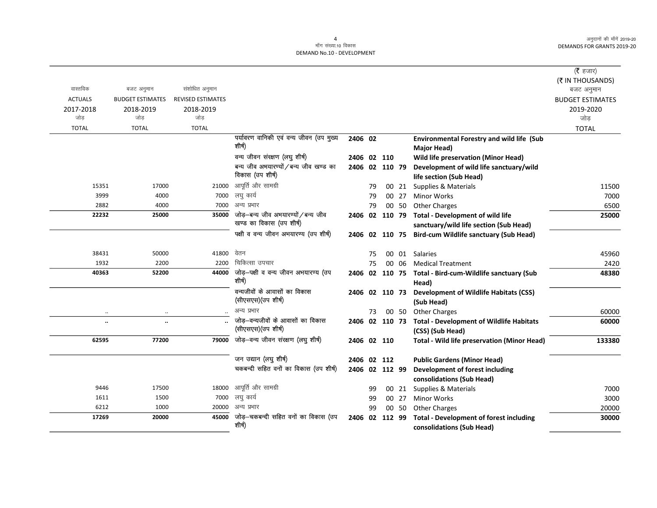$\overline{\phantom{0}}$ 

|                      |                         |                   |                                                   |                |    |       |                                                                         | (रै हजार)               |
|----------------------|-------------------------|-------------------|---------------------------------------------------|----------------|----|-------|-------------------------------------------------------------------------|-------------------------|
|                      |                         |                   |                                                   |                |    |       |                                                                         | (₹ IN THOUSANDS)        |
| वास्तविक             | बजट अनुमान              | संशोधित अनुमान    |                                                   |                |    |       |                                                                         | बजट अनुमान              |
| <b>ACTUALS</b>       | <b>BUDGET ESTIMATES</b> | REVISED ESTIMATES |                                                   |                |    |       |                                                                         | <b>BUDGET ESTIMATES</b> |
| 2017-2018            | 2018-2019               | 2018-2019         |                                                   |                |    |       |                                                                         | 2019-2020               |
| जोड                  | जोड                     | जोड               |                                                   |                |    |       |                                                                         | जोड़                    |
| <b>TOTAL</b>         | <b>TOTAL</b>            | <b>TOTAL</b>      |                                                   |                |    |       |                                                                         | <b>TOTAL</b>            |
|                      |                         |                   | पर्यावरण वानिकी एवं वन्य जीवन (उप मुख्य<br>शीर्ष) | 2406 02        |    |       | <b>Environmental Forestry and wild life (Sub</b>                        |                         |
|                      |                         |                   | वन्य जीवन संरक्षण (लघु शीर्ष)                     |                |    |       | <b>Major Head)</b>                                                      |                         |
|                      |                         |                   | बन्य जीव अभयारण्यों / बन्य जीव खण्ड का            | 2406 02 110    |    |       | <b>Wild life preservation (Minor Head)</b>                              |                         |
|                      |                         |                   | विकास (उप शीर्ष)                                  | 2406 02 110 79 |    |       | Development of wild life sanctuary/wild                                 |                         |
| 15351                | 17000                   | 21000             | आपूर्ति और सामग्री                                |                |    |       | life section (Sub Head)                                                 |                         |
| 3999                 | 4000                    | 7000              | लघु कार्य                                         |                | 79 | 00 21 | <b>Supplies &amp; Materials</b>                                         | 11500<br>7000           |
| 2882                 | 4000                    | 7000              | अन्य प्रभार                                       |                | 79 | 00 27 | <b>Minor Works</b>                                                      |                         |
| 22232                | 25000                   | 35000             | जोड़-बन्य जीव अभयारण्यों / बन्य जीव               |                | 79 | 00 50 | <b>Other Charges</b><br>2406 02 110 79 Total - Development of wild life | 6500<br>25000           |
|                      |                         |                   | खण्ड का विकास (उप शीर्ष)                          |                |    |       | sanctuary/wild life section (Sub Head)                                  |                         |
|                      |                         |                   | पक्षी व वन्य जीवन अभयारण्य (उप शीर्ष)             |                |    |       | 2406 02 110 75 Bird-cum Wildlife sanctuary (Sub Head)                   |                         |
|                      |                         |                   |                                                   |                |    |       |                                                                         |                         |
| 38431                | 50000                   | 41800             | वेतन                                              |                | 75 |       | 00 01 Salaries                                                          | 45960                   |
| 1932                 | 2200                    | 2200              | चिकित्सा उपचार                                    |                | 75 | 00 06 | <b>Medical Treatment</b>                                                | 2420                    |
| 40363                | 52200                   | 44000             | जोड़-पक्षी व वन्य जीवन अभयारण्य (उप               |                |    |       | 2406 02 110 75 Total - Bird-cum-Wildlife sanctuary (Sub                 | 48380                   |
|                      |                         |                   | शीर्ष)                                            |                |    |       | Head)                                                                   |                         |
|                      |                         |                   | वन्यजीवों के आवासों का विकास                      | 2406 02 110 73 |    |       | <b>Development of Wildlife Habitats (CSS)</b>                           |                         |
|                      |                         |                   | (सीएसएस) (उप शीर्ष)                               |                |    |       | (Sub Head)                                                              |                         |
| $\ddot{\phantom{0}}$ | $\ldots$                |                   | अन्य प्रभार                                       |                | 73 | 00 50 | <b>Other Charges</b>                                                    | 60000                   |
| $\ddot{\phantom{a}}$ | $\ldots$                |                   | जोड—वन्यजीवों के आवासों का विकास                  |                |    |       | 2406 02 110 73 Total - Development of Wildlife Habitats                 | 60000                   |
|                      |                         |                   | (सीएसएस) (उप शीर्ष)                               |                |    |       | (CSS) (Sub Head)                                                        |                         |
| 62595                | 77200                   | 79000             | जोड़-वन्य जीवन संरक्षण (लघु शीर्ष)                | 2406 02 110    |    |       | <b>Total - Wild life preservation (Minor Head)</b>                      | 133380                  |
|                      |                         |                   | जन उद्यान (लघु शीर्ष)                             | 2406 02 112    |    |       | <b>Public Gardens (Minor Head)</b>                                      |                         |
|                      |                         |                   | चकबन्दी सहित वनों का विकास (उप शीर्ष)             | 2406 02 112 99 |    |       | Development of forest including                                         |                         |
|                      |                         |                   |                                                   |                |    |       | consolidations (Sub Head)                                               |                         |
| 9446                 | 17500                   | 18000             | आपूर्ति और सामग्री                                |                | 99 | 00 21 | Supplies & Materials                                                    | 7000                    |
| 1611                 | 1500                    | 7000              | लघु कार्य                                         |                | 99 | 00 27 | <b>Minor Works</b>                                                      | 3000                    |
| 6212                 | 1000                    | 20000             | अन्य प्रभार                                       |                | 99 | 00 50 | <b>Other Charges</b>                                                    | 20000                   |
| 17269                | 20000                   | 45000             | जोड़–चकबन्दी सहित वनों का विकास (उप               | 2406 02 112 99 |    |       | <b>Total - Development of forest including</b>                          | 30000                   |
|                      |                         |                   | शीर्ष)                                            |                |    |       | consolidations (Sub Head)                                               |                         |
|                      |                         |                   |                                                   |                |    |       |                                                                         |                         |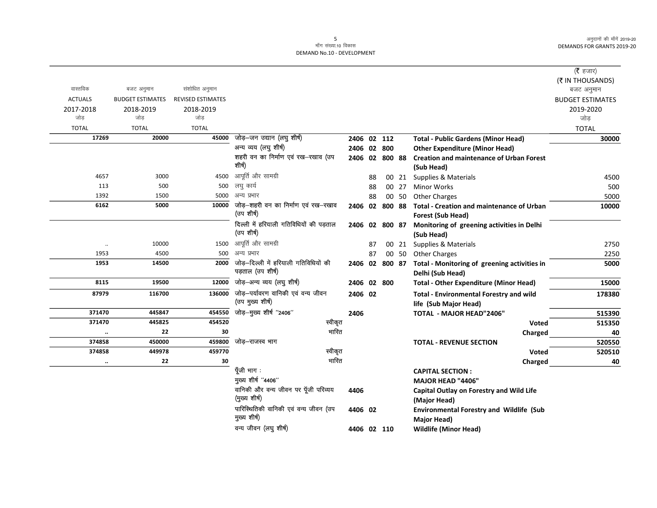|                |                         |                          |                                                            |                |    |       |                                                                         | ( $\bar{\tau}$ हजार)    |
|----------------|-------------------------|--------------------------|------------------------------------------------------------|----------------|----|-------|-------------------------------------------------------------------------|-------------------------|
|                |                         |                          |                                                            |                |    |       |                                                                         | (₹ IN THOUSANDS)        |
| वास्तविक       | बजट अनुमान              | संशोधित अनुमान           |                                                            |                |    |       |                                                                         | बजट अनुमान              |
| <b>ACTUALS</b> | <b>BUDGET ESTIMATES</b> | <b>REVISED ESTIMATES</b> |                                                            |                |    |       |                                                                         | <b>BUDGET ESTIMATES</b> |
| 2017-2018      | 2018-2019               | 2018-2019                |                                                            |                |    |       |                                                                         | 2019-2020               |
| जोड            | जोड                     | जोड                      |                                                            |                |    |       |                                                                         | जोड़                    |
| <b>TOTAL</b>   | <b>TOTAL</b>            | <b>TOTAL</b>             |                                                            |                |    |       |                                                                         | <b>TOTAL</b>            |
| 17269          | 20000                   | 45000                    | जोड़–जन उद्यान (लघु शीर्ष)                                 | 2406 02 112    |    |       | <b>Total - Public Gardens (Minor Head)</b>                              | 30000                   |
|                |                         |                          | अन्य व्यय (लघु शीर्ष)                                      | 2406 02 800    |    |       | <b>Other Expenditure (Minor Head)</b>                                   |                         |
|                |                         |                          | शहरी वन का निर्माण एवं रख-रखाव (उप<br>शीर्ष)               | 2406 02 800 88 |    |       | <b>Creation and maintenance of Urban Forest</b><br>(Sub Head)           |                         |
| 4657           | 3000                    | 4500                     | आपूर्ति और सामग्री                                         |                | 88 |       | 00 21 Supplies & Materials                                              | 4500                    |
| 113            | 500                     | 500                      | लघु कार्य                                                  |                | 88 | 00 27 | <b>Minor Works</b>                                                      | 500                     |
| 1392           | 1500                    | 5000                     | अन्य प्रभार                                                |                | 88 | 00 50 | <b>Other Charges</b>                                                    | 5000                    |
| 6162           | 5000                    | 10000                    | जोड़—शहरी वन का निर्माण एवं रख—रखाव                        | 2406 02 800 88 |    |       | <b>Total - Creation and maintenance of Urban</b>                        | 10000                   |
|                |                         |                          | (उप शीर्ष)                                                 |                |    |       | Forest (Sub Head)                                                       |                         |
|                |                         |                          | दिल्ली में हरियाली गतिविधियों की पड़ताल<br>(उप शीर्ष)      | 2406 02 800 87 |    |       | Monitoring of greening activities in Delhi<br>(Sub Head)                |                         |
| $\cdot\cdot$   | 10000                   | 1500                     | आपूर्ति और सामग्री                                         |                | 87 | 00 21 | Supplies & Materials                                                    | 2750                    |
| 1953           | 4500                    | 500                      | अन्य प्रभार                                                |                | 87 | 00 50 | <b>Other Charges</b>                                                    | 2250                    |
| 1953           | 14500                   | 2000                     | जोड़—दिल्ली में हरियाली गतिविधियों की<br>पड़ताल (उप शीर्ष) | 2406 02 800 87 |    |       | Total - Monitoring of greening activities in<br>Delhi (Sub Head)        | 5000                    |
| 8115           | 19500                   | 12000                    | जोड़-अन्य व्यय (लघु शीर्ष)                                 | 2406 02 800    |    |       | <b>Total - Other Expenditure (Minor Head)</b>                           | 15000                   |
| 87979          | 116700                  | 136000                   | जोड़—पर्यावरण वानिकी एवं वन्य जीवन<br>(उप मुख्य शीर्ष)     | 2406 02        |    |       | <b>Total - Environmental Forestry and wild</b><br>life (Sub Major Head) | 178380                  |
| 371470         | 445847                  | 454550                   | जोड़—मुख्य शीर्ष ''2406''                                  | 2406           |    |       | TOTAL - MAJOR HEAD"2406"                                                | 515390                  |
| 371470         | 445825                  | 454520                   | स्वीकृत                                                    |                |    |       | Voted                                                                   | 515350                  |
|                | 22                      | 30                       | भारित                                                      |                |    |       | Charged                                                                 | 40                      |
| 374858         | 450000                  | 459800                   | जोड़–राजस्व भाग                                            |                |    |       | <b>TOTAL - REVENUE SECTION</b>                                          | 520550                  |
| 374858         | 449978                  | 459770                   | स्वीकृत                                                    |                |    |       | <b>Voted</b>                                                            | 520510                  |
| $\ddotsc$      | 22                      | 30                       | भारित                                                      |                |    |       | Charged                                                                 | 40                      |
|                |                         |                          | पूँजी भाग :                                                |                |    |       | <b>CAPITAL SECTION:</b>                                                 |                         |
|                |                         |                          | मुख्य शीर्ष "4406"                                         |                |    |       | <b>MAJOR HEAD "4406"</b>                                                |                         |
|                |                         |                          | वानिकी और वन्य जीवन पर पूँजी परिव्यय<br>(मुख्य शीर्ष)      | 4406           |    |       | Capital Outlay on Forestry and Wild Life<br>(Major Head)                |                         |
|                |                         |                          | पारिस्थितिकी वानिकी एवं वन्य जीवन (उप<br>मुख्य शीर्ष)      | 4406 02        |    |       | <b>Environmental Forestry and Wildlife (Sub</b><br>Major Head)          |                         |
|                |                         |                          | वन्य जीवन (लघु शीर्ष)                                      | 4406 02 110    |    |       | <b>Wildlife (Minor Head)</b>                                            |                         |